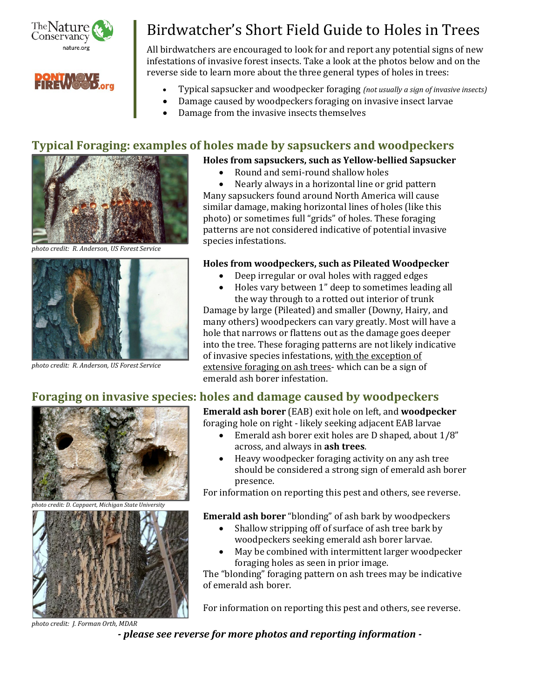

# Birdwatcher's Short Field Guide to Holes in Trees

All birdwatchers are encouraged to look for and report any potential signs of new infestations of invasive forest insects. Take a look at the photos below and on the reverse side to learn more about the three general types of holes in trees:



- Damage caused by woodpeckers foraging on invasive insect larvae
- Damage from the invasive insects themselves

### **Typical Foraging: examples of holes made by sapsuckers and woodpeckers**



*photo credit: R. Anderson, US Forest Service*



*photo credit: R. Anderson, US Forest Service*

#### **Holes from sapsuckers, such as Yellow-bellied Sapsucker**

• Round and semi-round shallow holes

• Nearly always in a horizontal line or grid pattern Many sapsuckers found around North America will cause similar damage, making horizontal lines of holes (like this photo) or sometimes full "grids" of holes. These foraging patterns are not considered indicative of potential invasive species infestations.

#### **Holes from woodpeckers, such as Pileated Woodpecker**

- Deep irregular or oval holes with ragged edges
- Holes vary between 1" deep to sometimes leading all

the way through to a rotted out interior of trunk Damage by large (Pileated) and smaller (Downy, Hairy, and many others) woodpeckers can vary greatly. Most will have a hole that narrows or flattens out as the damage goes deeper into the tree. These foraging patterns are not likely indicative of invasive species infestations, with the exception of extensive foraging on ash trees- which can be a sign of emerald ash borer infestation.

## **Foraging on invasive species: holes and damage caused by woodpeckers**



- Emerald ash borer exit holes are D shaped, about 1/8" across, and always in **ash trees**.
- Heavy woodpecker foraging activity on any ash tree should be considered a strong sign of emerald ash borer presence.

For information on reporting this pest and others, see reverse.

**Emerald ash borer** "blonding" of ash bark by woodpeckers

- Shallow stripping off of surface of ash tree bark by woodpeckers seeking emerald ash borer larvae.
- May be combined with intermittent larger woodpecker foraging holes as seen in prior image.

The "blonding" foraging pattern on ash trees may be indicative of emerald ash borer.

For information on reporting this pest and others, see reverse.

*photo credit: J. Forman Orth, MDAR*

*- please see reverse for more photos and reporting information -*